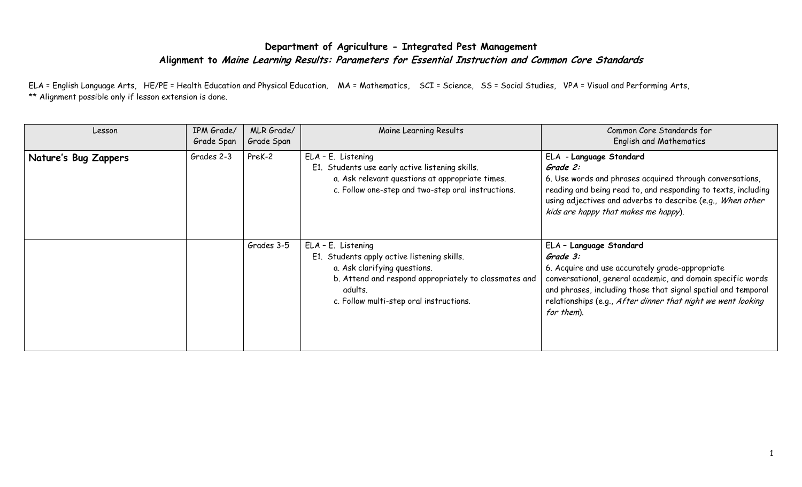## **Department of Agriculture - Integrated Pest Management Alignment to Maine Learning Results: Parameters for Essential Instruction and Common Core Standards**

ELA = English Language Arts, HE/PE = Health Education and Physical Education, MA = Mathematics, SCI = Science, SS = Social Studies, VPA = Visual and Performing Arts, \*\* Alignment possible only if lesson extension is done.

| Lesson               | IPM Grade/<br>Grade Span | MLR Grade/<br>Grade Span | Maine Learning Results                                                                                                                                                                                           | Common Core Standards for<br><b>English and Mathematics</b>                                                                                                                                                                                                                                          |
|----------------------|--------------------------|--------------------------|------------------------------------------------------------------------------------------------------------------------------------------------------------------------------------------------------------------|------------------------------------------------------------------------------------------------------------------------------------------------------------------------------------------------------------------------------------------------------------------------------------------------------|
| Nature's Bug Zappers | Grades 2-3               | PreK-2                   | ELA - E. Listening<br>E1. Students use early active listening skills.<br>a. Ask relevant questions at appropriate times.<br>c. Follow one-step and two-step oral instructions.                                   | ELA - Language Standard<br>Grade 2:<br>6. Use words and phrases acquired through conversations,<br>reading and being read to, and responding to texts, including<br>using adjectives and adverbs to describe (e.g., When other<br>kids are happy that makes me happy).                               |
|                      |                          | Grades 3-5               | ELA - E. Listening<br>E1. Students apply active listening skills.<br>a. Ask clarifying questions.<br>b. Attend and respond appropriately to classmates and<br>adults.<br>c. Follow multi-step oral instructions. | ELA - Language Standard<br>Grade 3:<br>6. Acquire and use accurately grade-appropriate<br>conversational, general academic, and domain specific words<br>and phrases, including those that signal spatial and temporal<br>relationships (e.g., After dinner that night we went looking<br>for them). |